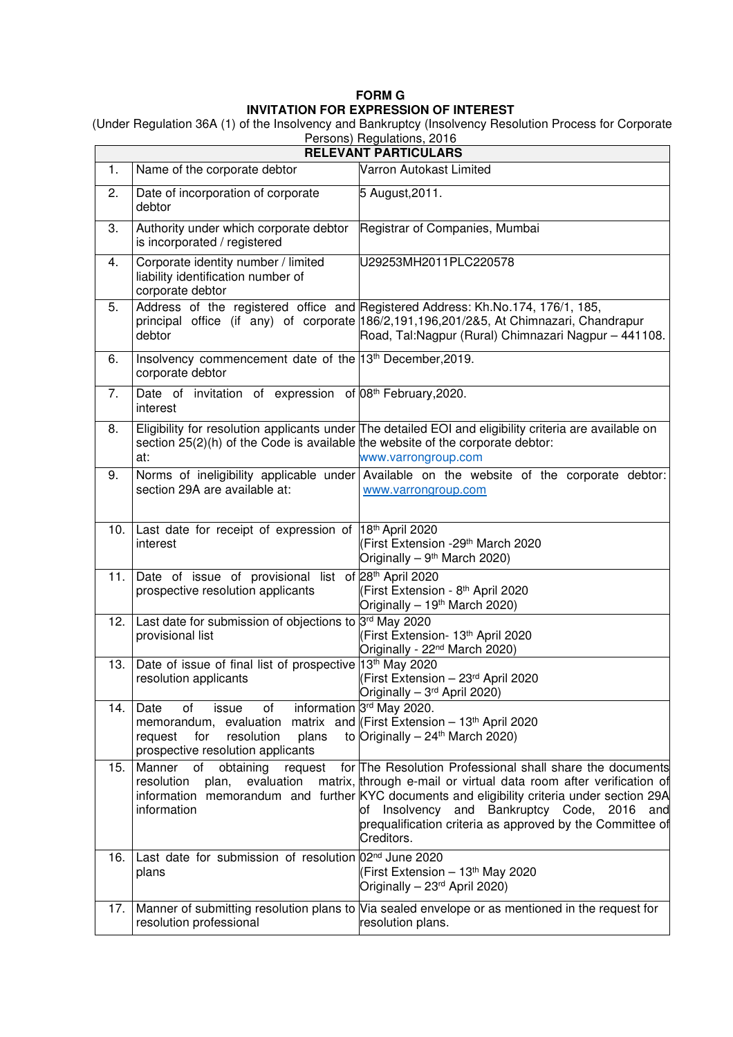## **FORM G INVITATION FOR EXPRESSION OF INTEREST**

 (Under Regulation 36A (1) of the Insolvency and Bankruptcy (Insolvency Resolution Process for Corporate Persons) Regulations, 2016

| $\sim$ 0.001.07 $\sim$ 0.001.01.01.01.01<br><b>RELEVANT PARTICULARS</b> |                                                                                                                                                                                  |                                                                                                                                                                                                                                                                                                                                                            |
|-------------------------------------------------------------------------|----------------------------------------------------------------------------------------------------------------------------------------------------------------------------------|------------------------------------------------------------------------------------------------------------------------------------------------------------------------------------------------------------------------------------------------------------------------------------------------------------------------------------------------------------|
| 1.                                                                      | Name of the corporate debtor                                                                                                                                                     | Varron Autokast Limited                                                                                                                                                                                                                                                                                                                                    |
| 2.                                                                      | Date of incorporation of corporate<br>debtor                                                                                                                                     | 5 August, 2011.                                                                                                                                                                                                                                                                                                                                            |
| 3.                                                                      | Authority under which corporate debtor   Registrar of Companies, Mumbai<br>is incorporated / registered                                                                          |                                                                                                                                                                                                                                                                                                                                                            |
| 4.                                                                      | Corporate identity number / limited<br>liability identification number of<br>corporate debtor                                                                                    | U29253MH2011PLC220578                                                                                                                                                                                                                                                                                                                                      |
| 5.                                                                      | debtor                                                                                                                                                                           | Address of the registered office and Registered Address: Kh.No.174, 176/1, 185,<br>principal office (if any) of corporate 186/2,191,196,201/2&5, At Chimnazari, Chandrapur<br>Road, Tal:Nagpur (Rural) Chimnazari Nagpur - 441108.                                                                                                                         |
| 6.                                                                      | Insolvency commencement date of the 13th December, 2019.<br>corporate debtor                                                                                                     |                                                                                                                                                                                                                                                                                                                                                            |
| 7.                                                                      | Date of invitation of expression of 08 <sup>th</sup> February, 2020.<br>interest                                                                                                 |                                                                                                                                                                                                                                                                                                                                                            |
| 8.                                                                      | section 25(2)(h) of the Code is available the website of the corporate debtor:<br>at:                                                                                            | Eligibility for resolution applicants under The detailed EOI and eligibility criteria are available on<br>www.varrongroup.com                                                                                                                                                                                                                              |
| 9.                                                                      | section 29A are available at:                                                                                                                                                    | Norms of ineligibility applicable under Available on the website of the corporate debtor:<br>www.varrongroup.com                                                                                                                                                                                                                                           |
|                                                                         | 10. Last date for receipt of expression of 18th April 2020<br>interest                                                                                                           | (First Extension -29 <sup>th</sup> March 2020<br>Originally - 9 <sup>th</sup> March 2020)                                                                                                                                                                                                                                                                  |
| 11.1                                                                    | Date of issue of provisional list of 28th April 2020<br>prospective resolution applicants                                                                                        | (First Extension - 8th April 2020<br>Originally - 19 <sup>th</sup> March 2020)                                                                                                                                                                                                                                                                             |
| 12.                                                                     | Last date for submission of objections to 3rd May 2020<br>provisional list                                                                                                       | (First Extension- 13th April 2020<br>Originally - 22 <sup>nd</sup> March 2020)                                                                                                                                                                                                                                                                             |
| 13.                                                                     | Date of issue of final list of prospective 13th May 2020<br>resolution applicants                                                                                                | (First Extension - 23rd April 2020<br>Originally - 3rd April 2020)                                                                                                                                                                                                                                                                                         |
| 14.                                                                     | οf<br>of<br>Date<br>issue<br>memorandum, evaluation matrix and (First Extension $-13th$ April 2020<br>resolution<br>plans<br>request<br>for<br>prospective resolution applicants | information 3rd May 2020.<br>to Originally $-24$ <sup>th</sup> March 2020)                                                                                                                                                                                                                                                                                 |
| 15.                                                                     | of<br>obtaining<br>Manner<br>request<br>resolution<br>evaluation<br>plan,<br>information                                                                                         | for The Resolution Professional shall share the documents<br>matrix, through e-mail or virtual data room after verification of<br>information memorandum and further KYC documents and eligibility criteria under section 29A<br>of Insolvency and Bankruptcy Code, 2016<br>and<br>prequalification criteria as approved by the Committee of<br>Creditors. |
| 16.                                                                     | Last date for submission of resolution 02 <sup>nd</sup> June 2020<br>plans                                                                                                       | (First Extension - 13 <sup>th</sup> May 2020<br>Originally - 23 <sup>rd</sup> April 2020)                                                                                                                                                                                                                                                                  |
| 17.                                                                     | resolution professional                                                                                                                                                          | Manner of submitting resolution plans to Via sealed envelope or as mentioned in the request for<br>resolution plans.                                                                                                                                                                                                                                       |